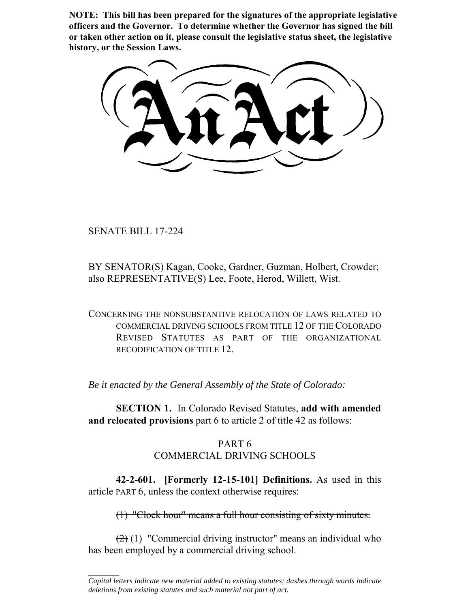**NOTE: This bill has been prepared for the signatures of the appropriate legislative officers and the Governor. To determine whether the Governor has signed the bill or taken other action on it, please consult the legislative status sheet, the legislative history, or the Session Laws.**

SENATE BILL 17-224

 $\frac{1}{2}$ 

BY SENATOR(S) Kagan, Cooke, Gardner, Guzman, Holbert, Crowder; also REPRESENTATIVE(S) Lee, Foote, Herod, Willett, Wist.

CONCERNING THE NONSUBSTANTIVE RELOCATION OF LAWS RELATED TO COMMERCIAL DRIVING SCHOOLS FROM TITLE 12 OF THE COLORADO REVISED STATUTES AS PART OF THE ORGANIZATIONAL RECODIFICATION OF TITLE 12.

*Be it enacted by the General Assembly of the State of Colorado:*

**SECTION 1.** In Colorado Revised Statutes, **add with amended and relocated provisions** part 6 to article 2 of title 42 as follows:

## PART 6 COMMERCIAL DRIVING SCHOOLS

**42-2-601. [Formerly 12-15-101] Definitions.** As used in this article PART 6, unless the context otherwise requires:

(1) "Clock hour" means a full hour consisting of sixty minutes.

 $(2)$  (1) "Commercial driving instructor" means an individual who has been employed by a commercial driving school.

*Capital letters indicate new material added to existing statutes; dashes through words indicate deletions from existing statutes and such material not part of act.*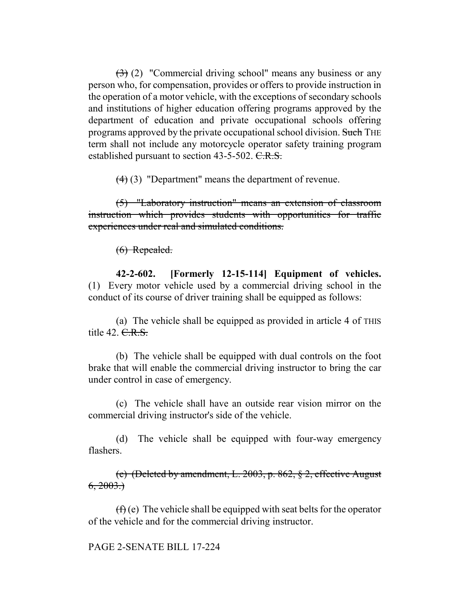$(3)$  (2) "Commercial driving school" means any business or any person who, for compensation, provides or offers to provide instruction in the operation of a motor vehicle, with the exceptions of secondary schools and institutions of higher education offering programs approved by the department of education and private occupational schools offering programs approved by the private occupational school division. Such THE term shall not include any motorcycle operator safety training program established pursuant to section 43-5-502. C.R.S.

(4) (3) "Department" means the department of revenue.

(5) "Laboratory instruction" means an extension of classroom instruction which provides students with opportunities for traffic experiences under real and simulated conditions.

(6) Repealed.

**42-2-602. [Formerly 12-15-114] Equipment of vehicles.** (1) Every motor vehicle used by a commercial driving school in the conduct of its course of driver training shall be equipped as follows:

(a) The vehicle shall be equipped as provided in article 4 of THIS title  $42. \text{C-R.S.}$ 

(b) The vehicle shall be equipped with dual controls on the foot brake that will enable the commercial driving instructor to bring the car under control in case of emergency.

(c) The vehicle shall have an outside rear vision mirror on the commercial driving instructor's side of the vehicle.

(d) The vehicle shall be equipped with four-way emergency flashers.

(e) (Deleted by amendment, L. 2003, p. 862, § 2, effective August  $6, 2003.$ 

 $(f)$  (e) The vehicle shall be equipped with seat belts for the operator of the vehicle and for the commercial driving instructor.

PAGE 2-SENATE BILL 17-224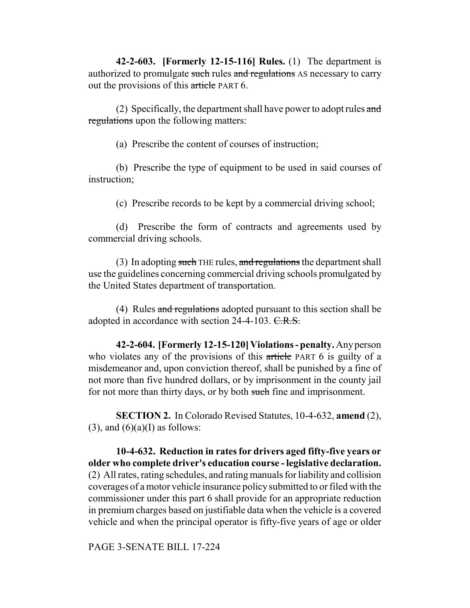**42-2-603. [Formerly 12-15-116] Rules.** (1) The department is authorized to promulgate such rules and regulations AS necessary to carry out the provisions of this article PART 6.

(2) Specifically, the department shall have power to adopt rules and regulations upon the following matters:

(a) Prescribe the content of courses of instruction;

(b) Prescribe the type of equipment to be used in said courses of instruction;

(c) Prescribe records to be kept by a commercial driving school;

(d) Prescribe the form of contracts and agreements used by commercial driving schools.

(3) In adopting such THE rules, and regulations the department shall use the guidelines concerning commercial driving schools promulgated by the United States department of transportation.

(4) Rules and regulations adopted pursuant to this section shall be adopted in accordance with section 24-4-103. C.R.S.

**42-2-604. [Formerly 12-15-120] Violations - penalty.** Any person who violates any of the provisions of this article PART 6 is guilty of a misdemeanor and, upon conviction thereof, shall be punished by a fine of not more than five hundred dollars, or by imprisonment in the county jail for not more than thirty days, or by both such fine and imprisonment.

**SECTION 2.** In Colorado Revised Statutes, 10-4-632, **amend** (2),  $(3)$ , and  $(6)(a)$ (I) as follows:

**10-4-632. Reduction in rates for drivers aged fifty-five years or older who complete driver's education course - legislative declaration.** (2) All rates, rating schedules, and rating manuals for liability and collision coverages of a motor vehicle insurance policy submitted to or filed with the commissioner under this part 6 shall provide for an appropriate reduction in premium charges based on justifiable data when the vehicle is a covered vehicle and when the principal operator is fifty-five years of age or older

PAGE 3-SENATE BILL 17-224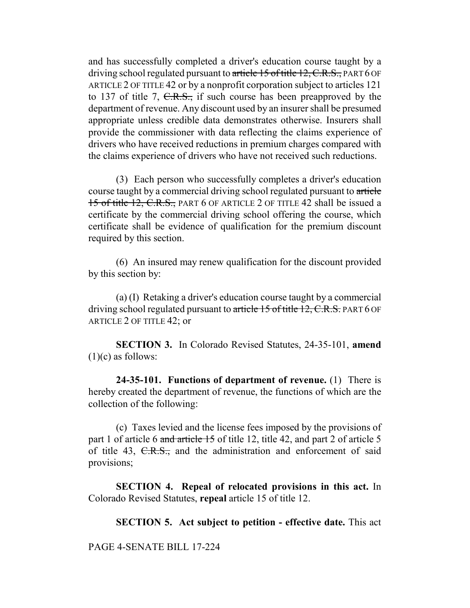and has successfully completed a driver's education course taught by a driving school regulated pursuant to article 15 of title 12, C.R.S., PART 6 OF ARTICLE 2 OF TITLE 42 or by a nonprofit corporation subject to articles 121 to 137 of title 7, C.R.S., if such course has been preapproved by the department of revenue. Any discount used by an insurer shall be presumed appropriate unless credible data demonstrates otherwise. Insurers shall provide the commissioner with data reflecting the claims experience of drivers who have received reductions in premium charges compared with the claims experience of drivers who have not received such reductions.

(3) Each person who successfully completes a driver's education course taught by a commercial driving school regulated pursuant to article 15 of title 12, C.R.S., PART 6 OF ARTICLE 2 OF TITLE 42 shall be issued a certificate by the commercial driving school offering the course, which certificate shall be evidence of qualification for the premium discount required by this section.

(6) An insured may renew qualification for the discount provided by this section by:

(a) (I) Retaking a driver's education course taught by a commercial driving school regulated pursuant to article 15 of title 12, C.R.S. PART 6 OF ARTICLE 2 OF TITLE 42; or

**SECTION 3.** In Colorado Revised Statutes, 24-35-101, **amend**  $(1)(c)$  as follows:

**24-35-101. Functions of department of revenue.** (1) There is hereby created the department of revenue, the functions of which are the collection of the following:

(c) Taxes levied and the license fees imposed by the provisions of part 1 of article 6 and article 15 of title 12, title 42, and part 2 of article 5 of title 43, C.R.S., and the administration and enforcement of said provisions;

**SECTION 4. Repeal of relocated provisions in this act.** In Colorado Revised Statutes, **repeal** article 15 of title 12.

**SECTION 5. Act subject to petition - effective date.** This act

PAGE 4-SENATE BILL 17-224